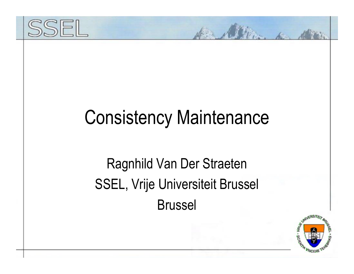

## Consistency Maintenance

### Ragnhild Van Der Straeten SSEL, Vrije Universiteit Brussel Brussel

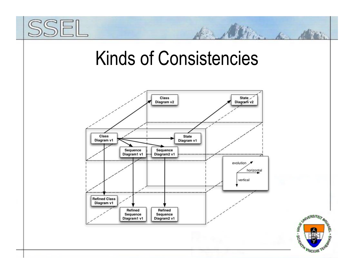## Kinds of Consistencies



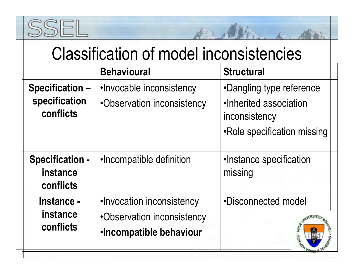

| <b>Classification of model inconsistencies</b> |  |  |
|------------------------------------------------|--|--|
|                                                |  |  |

A Allian a Min

|                                                 | <b>Behavioural</b>                                                                        | <b>Structural</b>                                                                                  |  |
|-------------------------------------------------|-------------------------------------------------------------------------------------------|----------------------------------------------------------------------------------------------------|--|
| Specification-<br>specification<br>conflicts    | .Invocable inconsistency<br>•Observation inconsistency                                    | •Dangling type reference<br>.Inherited association<br>inconsistency<br>•Role specification missing |  |
| <b>Specification -</b><br>instance<br>conflicts | .Incompatible definition                                                                  | •Instance specification<br>missing                                                                 |  |
| Instance -<br>instance<br>conflicts             | .Invocation inconsistency<br>•Observation inconsistency<br><b>·Incompatible behaviour</b> | •Disconnected model                                                                                |  |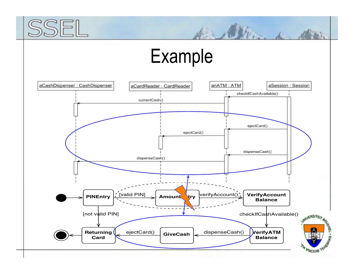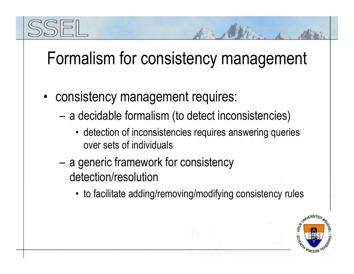## Formalism for consistency management

- consistency management requires:
	- – a decidable formalism (to detect inconsistencies)
		- detection of inconsistencies requires answering queries over sets of individuals
	- – a generic framework for consistency detection/resolution
		- to facilitate adding/removing/modifying consistency rules

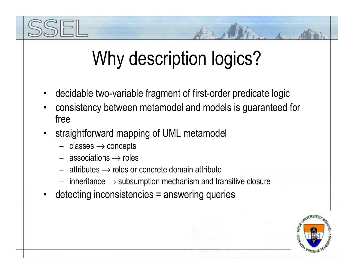# Why description logics?

- •decidable two-variable fragment of first-order predicate logic
- • consistency between metamodel and models is guaranteed for free
- • straightforward mapping of UML metamodel
	- $\,$  classes  $\rightarrow$  concepts
	- $-$  associations  $\rightarrow$  roles
	- $\,$  attributes  $\rightarrow$  roles or concrete domain attribute
	- $\;$  inheritance  $\rightarrow$  subsumption mechanism and transitive closure
- •detecting inconsistencies = answering queries

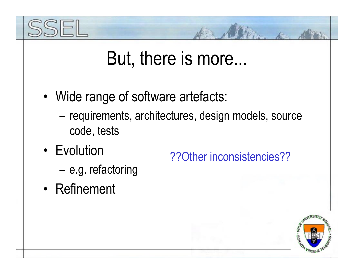

## But, there is more...

- • Wide range of software artefacts:
	- – requirements, architectures, design models, source code, tests
- Evolution

??Other inconsistencies??

- –e.g. refactoring
- Refinement